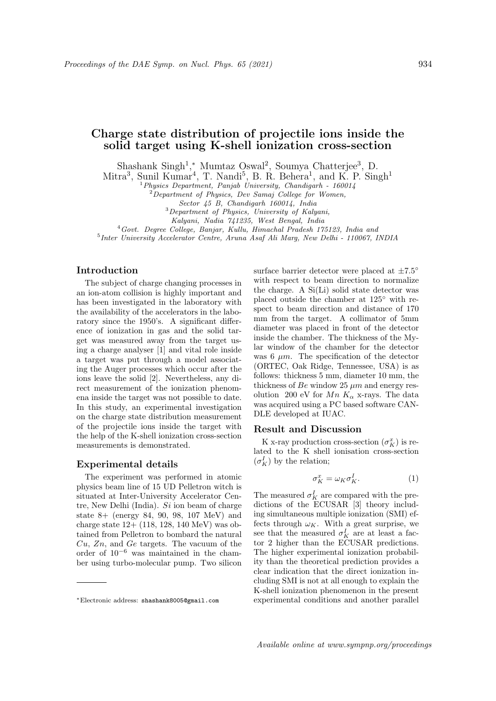# Charge state distribution of projectile ions inside the solid target using K-shell ionization cross-section

Shashank Singh<sup>1</sup>,\* Mumtaz Oswal<sup>2</sup>, Soumya Chatterjee<sup>3</sup>, D.

Mitra<sup>3</sup>, Sunil Kumar<sup>4</sup>, T. Nandi<sup>5</sup>, B. R. Behera<sup>1</sup>, and K. P. Singh<sup>1</sup>

 $1$ Physics Department, Panjab University, Chandigarh - 160014

<sup>2</sup>Department of Physics, Dev Samaj College for Women,

Sector 45 B, Chandigarh 160014, India

<sup>3</sup>Department of Physics, University of Kalyani,

Kalyani, Nadia 741235, West Bengal, India

<sup>4</sup>Govt. Degree College, Banjar, Kullu, Himachal Pradesh 175123, India and

5 Inter University Accelerator Centre, Aruna Asaf Ali Marg, New Delhi - 110067, INDIA

### Introduction

The subject of charge changing processes in an ion-atom collision is highly important and has been investigated in the laboratory with the availability of the accelerators in the laboratory since the 1950's. A significant difference of ionization in gas and the solid target was measured away from the target using a charge analyser [1] and vital role inside a target was put through a model associating the Auger processes which occur after the ions leave the solid [2]. Nevertheless, any direct measurement of the ionization phenomena inside the target was not possible to date. In this study, an experimental investigation on the charge state distribution measurement of the projectile ions inside the target with the help of the K-shell ionization cross-section measurements is demonstrated.

#### Experimental details

The experiment was performed in atomic physics beam line of 15 UD Pelletron witch is situated at Inter-University Accelerator Centre, New Delhi (India).  $Si$  ion beam of charge state 8+ (energy 84, 90, 98, 107 MeV) and charge state 12+ (118, 128, 140 MeV) was obtained from Pelletron to bombard the natural  $Cu, Zn,$  and  $Ge$  targets. The vacuum of the order of 10<sup>−</sup><sup>6</sup> was maintained in the chamber using turbo-molecular pump. Two silicon

surface barrier detector were placed at  $\pm 7.5^{\circ}$ with respect to beam direction to normalize the charge. A Si(Li) solid state detector was placed outside the chamber at 125◦ with respect to beam direction and distance of 170 mm from the target. A collimator of 5mm diameter was placed in front of the detector inside the chamber. The thickness of the Mylar window of the chamber for the detector was 6  $\mu$ m. The specification of the detector (ORTEC, Oak Ridge, Tennessee, USA) is as follows: thickness 5 mm, diameter 10 mm, the thickness of Be window 25  $\mu$ m and energy resolution 200 eV for  $Mn K_{\alpha}$  x-rays. The data was acquired using a PC based software CAN-DLE developed at IUAC.

#### Result and Discussion

K x-ray production cross-section  $(\sigma_K^x)$  is related to the K shell ionisation cross-section  $(\sigma_K^I)$  by the relation;

$$
\sigma_K^x = \omega_K \sigma_K^I. \tag{1}
$$

The measured  $\sigma_K^I$  are compared with the predictions of the ECUSAR [3] theory including simultaneous multiple ionization (SMI) effects through  $\omega_K$ . With a great surprise, we see that the measured  $\sigma_K^I$  are at least a factor 2 higher than the ECUSAR predictions. The higher experimental ionization probability than the theoretical prediction provides a clear indication that the direct ionization including SMI is not at all enough to explain the K-shell ionization phenomenon in the present experimental conditions and another parallel

<sup>∗</sup>Electronic address: shashank8005@gmail.com